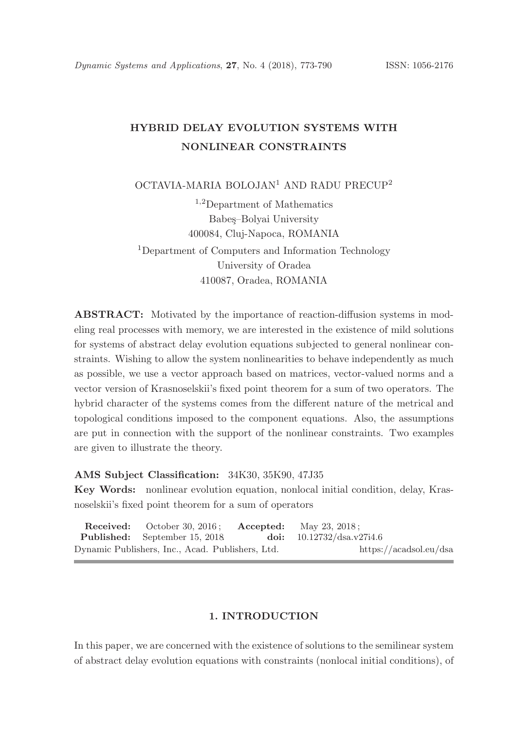# HYBRID DELAY EVOLUTION SYSTEMS WITH NONLINEAR CONSTRAINTS

OCTAVIA-MARIA BOLOJAN<sup>1</sup> AND RADU PRECUP<sup>2</sup>

<sup>1</sup>,2Department of Mathematics Babes–Bolyai University 400084, Cluj-Napoca, ROMANIA <sup>1</sup>Department of Computers and Information Technology University of Oradea 410087, Oradea, ROMANIA

ABSTRACT: Motivated by the importance of reaction-diffusion systems in modeling real processes with memory, we are interested in the existence of mild solutions for systems of abstract delay evolution equations subjected to general nonlinear constraints. Wishing to allow the system nonlinearities to behave independently as much as possible, we use a vector approach based on matrices, vector-valued norms and a vector version of Krasnoselskii's fixed point theorem for a sum of two operators. The hybrid character of the systems comes from the different nature of the metrical and topological conditions imposed to the component equations. Also, the assumptions are put in connection with the support of the nonlinear constraints. Two examples are given to illustrate the theory.

AMS Subject Classification: 34K30, 35K90, 47J35

Key Words: nonlinear evolution equation, nonlocal initial condition, delay, Krasnoselskii's fixed point theorem for a sum of operators

|                                                  | <b>Received:</b> October 30, 2016; <b>Accepted:</b> May 23, 2018; |  |                                    |  |
|--------------------------------------------------|-------------------------------------------------------------------|--|------------------------------------|--|
|                                                  | <b>Published:</b> September 15, 2018                              |  | <b>doi:</b> $10.12732/dsa.v27i4.6$ |  |
| Dynamic Publishers, Inc., Acad. Publishers, Ltd. |                                                                   |  | https://acadsol.eu/dsa             |  |

## 1. INTRODUCTION

In this paper, we are concerned with the existence of solutions to the semilinear system of abstract delay evolution equations with constraints (nonlocal initial conditions), of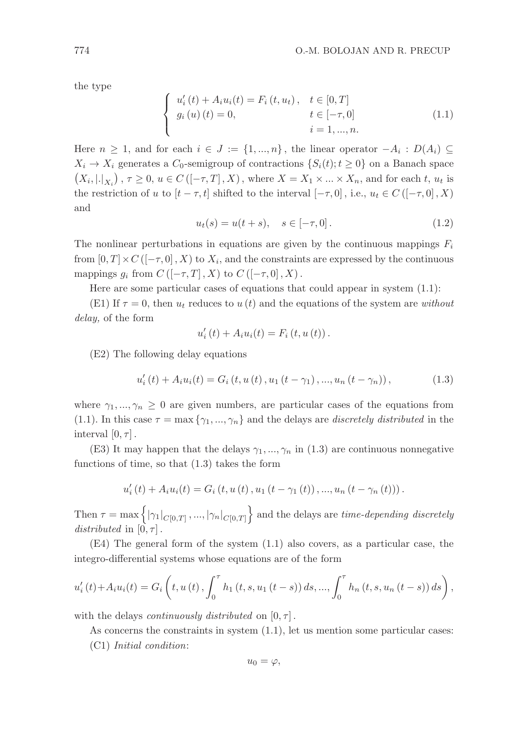the type

$$
\begin{cases}\nu'_{i}(t) + A_{i}u_{i}(t) = F_{i}(t, u_{t}), & t \in [0, T] \\
g_{i}(u)(t) = 0, & t \in [-\tau, 0] \\
i = 1, ..., n.\n\end{cases}
$$
\n(1.1)

Here  $n \geq 1$ , and for each  $i \in J := \{1, ..., n\}$ , the linear operator  $-A_i : D(A_i) \subseteq$  $X_i \to X_i$  generates a  $C_0$ -semigroup of contractions  $\{S_i(t); t \geq 0\}$  on a Banach space  $(X_i, |.|_{X_i})$ ,  $\tau \geq 0$ ,  $u \in C([-\tau, T], X)$ , where  $X = X_1 \times ... \times X_n$ , and for each t,  $u_t$  is the restriction of u to  $[t - \tau, t]$  shifted to the interval  $[-\tau, 0]$ , i.e.,  $u_t \in C([-\tau, 0], X)$ and

$$
u_t(s) = u(t+s), \quad s \in [-\tau, 0]. \tag{1.2}
$$

The nonlinear perturbations in equations are given by the continuous mappings  $F_i$ from  $[0, T] \times C([-\tau, 0], X)$  to  $X_i$ , and the constraints are expressed by the continuous mappings  $g_i$  from  $C$  ([ $-\tau$ , T], X) to  $C$  ([ $-\tau$ , 0], X).

Here are some particular cases of equations that could appear in system (1.1):

(E1) If  $\tau = 0$ , then  $u_t$  reduces to  $u(t)$  and the equations of the system are without delay, of the form

$$
u'_{i}(t) + A_{i}u_{i}(t) = F_{i}(t, u(t)).
$$

(E2) The following delay equations

$$
u'_{i}(t) + A_{i}u_{i}(t) = G_{i}(t, u(t), u_{1}(t - \gamma_{1}), ..., u_{n}(t - \gamma_{n})),
$$
\n(1.3)

where  $\gamma_1, ..., \gamma_n \geq 0$  are given numbers, are particular cases of the equations from (1.1). In this case  $\tau = \max\{\gamma_1, ..., \gamma_n\}$  and the delays are *discretely distributed* in the interval  $[0, \tau]$ .

(E3) It may happen that the delays  $\gamma_1, ..., \gamma_n$  in (1.3) are continuous nonnegative functions of time, so that (1.3) takes the form

$$
u'_{i}(t) + A_{i}u_{i}(t) = G_{i}(t, u(t), u_{1}(t - \gamma_{1}(t)), ..., u_{n}(t - \gamma_{n}(t))).
$$

Then  $\tau = \max\left\{ |\gamma_1|_{C[0,T]}, ..., |\gamma_n|_{C[0,T]} \right\}$  and the delays are *time-depending discretely* distributed in  $[0, \tau]$ .

(E4) The general form of the system (1.1) also covers, as a particular case, the integro-differential systems whose equations are of the form

$$
u'_{i}(t) + A_{i}u_{i}(t) = G_{i}\left(t, u(t), \int_{0}^{\tau} h_{1}(t, s, u_{1}(t-s)) ds, ..., \int_{0}^{\tau} h_{n}(t, s, u_{n}(t-s)) ds\right),
$$

with the delays *continuously distributed* on  $[0, \tau]$ .

As concerns the constraints in system  $(1.1)$ , let us mention some particular cases: (C1) Initial condition:

$$
u_0=\varphi,
$$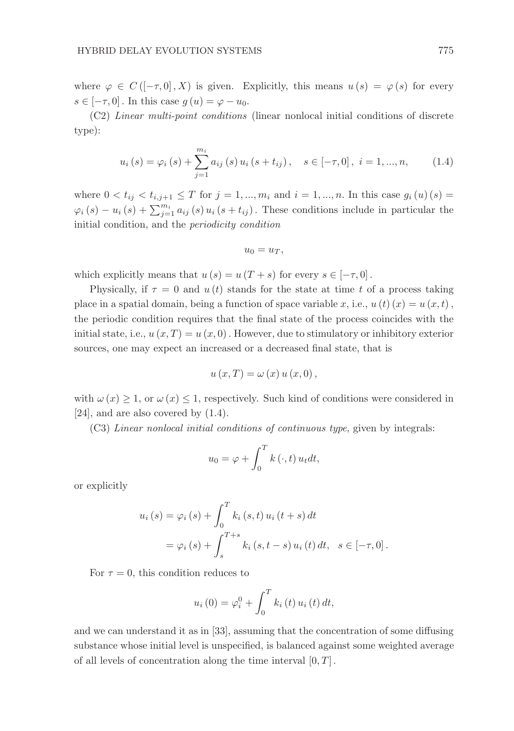where  $\varphi \in C([-\tau,0],X)$  is given. Explicitly, this means  $u(s) = \varphi(s)$  for every  $s \in [-\tau, 0]$ . In this case  $g(u) = \varphi - u_0$ .

(C2) Linear multi-point conditions (linear nonlocal initial conditions of discrete type):

$$
u_i(s) = \varphi_i(s) + \sum_{j=1}^{m_i} a_{ij}(s) u_i(s + t_{ij}), \quad s \in [-\tau, 0], \ i = 1, ..., n,
$$
 (1.4)

where  $0 < t_{ij} < t_{i,j+1} \leq T$  for  $j = 1, ..., m_i$  and  $i = 1, ..., n$ . In this case  $g_i(u)(s) =$  $\varphi_i(s) - u_i(s) + \sum_{j=1}^{m_i} a_{ij}(s) u_i(s+t_{ij})$ . These conditions include in particular the initial condition, and the periodicity condition

$$
u_0=u_T,
$$

which explicitly means that  $u(s) = u(T+s)$  for every  $s \in [-\tau, 0]$ .

Physically, if  $\tau = 0$  and  $u(t)$  stands for the state at time t of a process taking place in a spatial domain, being a function of space variable x, i.e.,  $u(t)(x) = u(x, t)$ , the periodic condition requires that the final state of the process coincides with the initial state, i.e.,  $u(x,T) = u(x,0)$ . However, due to stimulatory or inhibitory exterior sources, one may expect an increased or a decreased final state, that is

$$
u(x,T) = \omega(x) u(x,0),
$$

with  $\omega(x) \geq 1$ , or  $\omega(x) \leq 1$ , respectively. Such kind of conditions were considered in [24], and are also covered by  $(1.4)$ .

(C3) Linear nonlocal initial conditions of continuous type, given by integrals:

$$
u_0 = \varphi + \int_0^T k(\cdot, t) u_t dt,
$$

or explicitly

$$
u_i(s) = \varphi_i(s) + \int_0^T k_i(s, t) u_i(t + s) dt
$$
  
=  $\varphi_i(s) + \int_s^{T+s} k_i(s, t - s) u_i(t) dt, \quad s \in [-\tau, 0].$ 

For  $\tau = 0$ , this condition reduces to

$$
u_i(0) = \varphi_i^0 + \int_0^T k_i(t) \, u_i(t) \, dt,
$$

and we can understand it as in [33], assuming that the concentration of some diffusing substance whose initial level is unspecified, is balanced against some weighted average of all levels of concentration along the time interval  $[0, T]$ .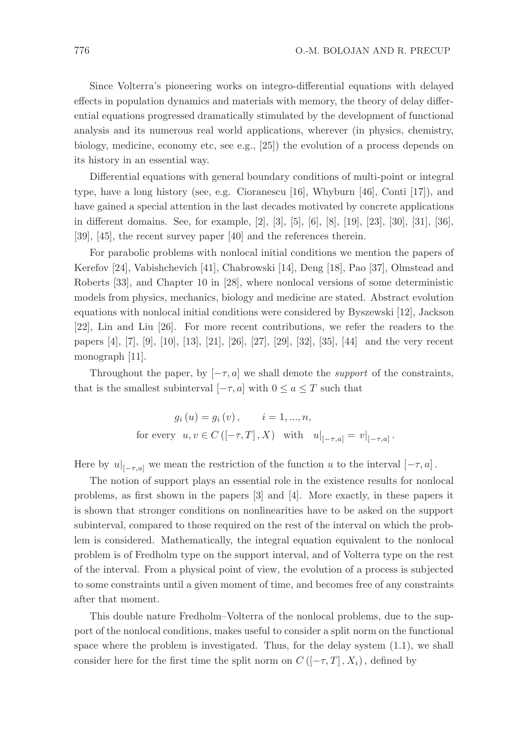Since Volterra's pioneering works on integro-differential equations with delayed effects in population dynamics and materials with memory, the theory of delay differential equations progressed dramatically stimulated by the development of functional analysis and its numerous real world applications, wherever (in physics, chemistry, biology, medicine, economy etc, see e.g., [25]) the evolution of a process depends on its history in an essential way.

Differential equations with general boundary conditions of multi-point or integral type, have a long history (see, e.g. Cioranescu [16], Whyburn [46], Conti [17]), and have gained a special attention in the last decades motivated by concrete applications in different domains. See, for example, [2], [3], [5], [6], [8], [19], [23], [30], [31], [36], [39], [45], the recent survey paper [40] and the references therein.

For parabolic problems with nonlocal initial conditions we mention the papers of Kerefov [24], Vabishchevich [41], Chabrowski [14], Deng [18], Pao [37], Olmstead and Roberts [33], and Chapter 10 in [28], where nonlocal versions of some deterministic models from physics, mechanics, biology and medicine are stated. Abstract evolution equations with nonlocal initial conditions were considered by Byszewski [12], Jackson [22], Lin and Liu [26]. For more recent contributions, we refer the readers to the papers [4], [7], [9], [10], [13], [21], [26], [27], [29], [32], [35], [44] and the very recent monograph [11].

Throughout the paper, by  $[-\tau, a]$  we shall denote the *support* of the constraints, that is the smallest subinterval  $[-\tau, a]$  with  $0 \le a \le T$  such that

$$
g_i(u) = g_i(v), \t i = 1,...,n,
$$
  
for every  $u, v \in C([-\tau, T], X)$  with  $u|_{[-\tau, a]} = v|_{[-\tau, a]}.$ 

Here by  $u|_{[-\tau,a]}$  we mean the restriction of the function u to the interval  $[-\tau,a]$ .

The notion of support plays an essential role in the existence results for nonlocal problems, as first shown in the papers [3] and [4]. More exactly, in these papers it is shown that stronger conditions on nonlinearities have to be asked on the support subinterval, compared to those required on the rest of the interval on which the problem is considered. Mathematically, the integral equation equivalent to the nonlocal problem is of Fredholm type on the support interval, and of Volterra type on the rest of the interval. From a physical point of view, the evolution of a process is subjected to some constraints until a given moment of time, and becomes free of any constraints after that moment.

This double nature Fredholm–Volterra of the nonlocal problems, due to the support of the nonlocal conditions, makes useful to consider a split norm on the functional space where the problem is investigated. Thus, for the delay system (1.1), we shall consider here for the first time the split norm on  $C$  ([ $-\tau$ , T],  $X_i$ ), defined by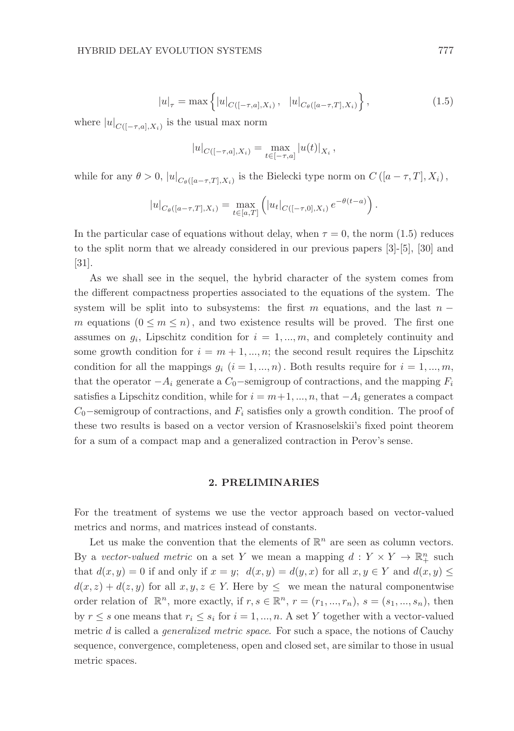$$
|u|_{\tau} = \max \left\{ |u|_{C([-\tau,a],X_i)}, \quad |u|_{C_{\theta}([a-\tau,T],X_i)} \right\},\tag{1.5}
$$

where  $|u|_{C([-\tau,a],X_i)}$  is the usual max norm

$$
|u|_{C([-\tau,a],X_i)} = \max_{t \in [-\tau,a]} |u(t)|_{X_i},
$$

while for any  $\theta > 0$ ,  $|u|_{C_{\theta}([a-\tau,T],X_i)}$  is the Bielecki type norm on  $C([a-\tau,T],X_i)$ ,

$$
|u|_{C_{\theta}([a-\tau,T],X_i)} = \max_{t \in [a,T]} (|u_t|_{C([-\tau,0],X_i)} e^{-\theta(t-a)}).
$$

In the particular case of equations without delay, when  $\tau = 0$ , the norm (1.5) reduces to the split norm that we already considered in our previous papers [3]-[5], [30] and [31].

As we shall see in the sequel, the hybrid character of the system comes from the different compactness properties associated to the equations of the system. The system will be split into to subsystems: the first m equations, and the last  $n$ m equations  $(0 \leq m \leq n)$ , and two existence results will be proved. The first one assumes on  $g_i$ , Lipschitz condition for  $i = 1, ..., m$ , and completely continuity and some growth condition for  $i = m + 1, ..., n$ ; the second result requires the Lipschitz condition for all the mappings  $g_i$   $(i = 1, ..., n)$ . Both results require for  $i = 1, ..., m$ , that the operator  $-A_i$  generate a  $C_0$ -semigroup of contractions, and the mapping  $F_i$ satisfies a Lipschitz condition, while for  $i = m+1, ..., n$ , that  $-A_i$  generates a compact  $C_0$ −semigroup of contractions, and  $F_i$  satisfies only a growth condition. The proof of these two results is based on a vector version of Krasnoselskii's fixed point theorem for a sum of a compact map and a generalized contraction in Perov's sense.

### 2. PRELIMINARIES

For the treatment of systems we use the vector approach based on vector-valued metrics and norms, and matrices instead of constants.

Let us make the convention that the elements of  $\mathbb{R}^n$  are seen as column vectors. By a vector-valued metric on a set Y we mean a mapping  $d: Y \times Y \to \mathbb{R}^n_+$  such that  $d(x, y) = 0$  if and only if  $x = y$ ;  $d(x, y) = d(y, x)$  for all  $x, y \in Y$  and  $d(x, y) \leq y$  $d(x, z) + d(z, y)$  for all  $x, y, z \in Y$ . Here by  $\leq$  we mean the natural componentwise order relation of  $\mathbb{R}^n$ , more exactly, if  $r, s \in \mathbb{R}^n$ ,  $r = (r_1, ..., r_n)$ ,  $s = (s_1, ..., s_n)$ , then by  $r \leq s$  one means that  $r_i \leq s_i$  for  $i = 1, ..., n$ . A set Y together with a vector-valued metric d is called a *generalized metric space*. For such a space, the notions of Cauchy sequence, convergence, completeness, open and closed set, are similar to those in usual metric spaces.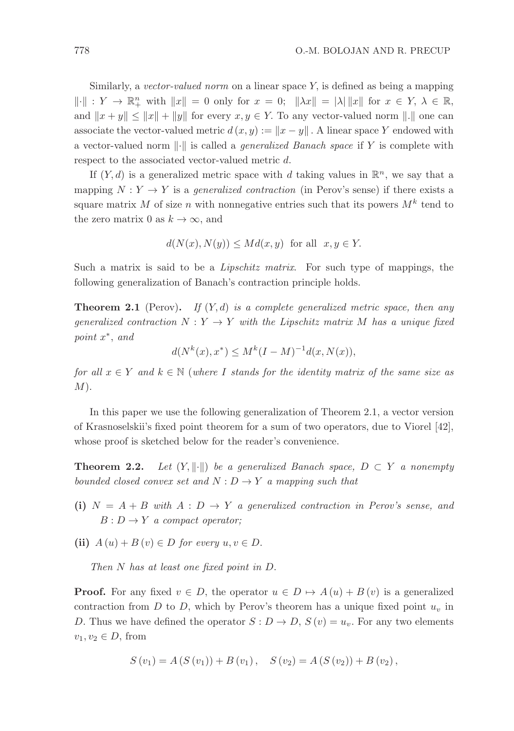Similarly, a vector-valued norm on a linear space  $Y$ , is defined as being a mapping  $\|\cdot\|$  :  $Y \to \mathbb{R}^n_+$  with  $\|x\| = 0$  only for  $x = 0$ ;  $\|\lambda x\| = |\lambda| \|x\|$  for  $x \in Y$ ,  $\lambda \in \mathbb{R}$ , and  $||x + y|| \le ||x|| + ||y||$  for every  $x, y \in Y$ . To any vector-valued norm  $||.||$  one can associate the vector-valued metric  $d(x, y) := ||x - y||$ . A linear space Y endowed with a vector-valued norm  $\|\cdot\|$  is called a *generalized Banach space* if Y is complete with respect to the associated vector-valued metric d.

If  $(Y, d)$  is a generalized metric space with d taking values in  $\mathbb{R}^n$ , we say that a mapping  $N: Y \to Y$  is a *generalized contraction* (in Perov's sense) if there exists a square matrix M of size n with nonnegative entries such that its powers  $M^k$  tend to the zero matrix 0 as  $k \to \infty$ , and

$$
d(N(x), N(y)) \leq Md(x, y) \text{ for all } x, y \in Y.
$$

Such a matrix is said to be a Lipschitz matrix. For such type of mappings, the following generalization of Banach's contraction principle holds.

**Theorem 2.1** (Perov). If  $(Y, d)$  is a complete generalized metric space, then any generalized contraction  $N: Y \to Y$  with the Lipschitz matrix M has a unique fixed point  $x^*$ , and

 $d(N^k(x), x^*) \le M^k(I-M)^{-1}d(x, N(x)),$ 

for all  $x \in Y$  and  $k \in \mathbb{N}$  (where I stands for the identity matrix of the same size as  $M$ ).

In this paper we use the following generalization of Theorem 2.1, a vector version of Krasnoselskii's fixed point theorem for a sum of two operators, due to Viorel [42], whose proof is sketched below for the reader's convenience.

**Theorem 2.2.** Let  $(Y, \|\cdot\|)$  be a generalized Banach space,  $D \subset Y$  a nonempty bounded closed convex set and  $N : D \to Y$  a mapping such that

- (i)  $N = A + B$  with  $A : D \to Y$  a generalized contraction in Perov's sense, and  $B: D \to Y$  a compact operator;
- (ii)  $A(u) + B(v) \in D$  for every  $u, v \in D$ .

Then N has at least one fixed point in D.

**Proof.** For any fixed  $v \in D$ , the operator  $u \in D \mapsto A(u) + B(v)$  is a generalized contraction from  $D$  to  $D$ , which by Perov's theorem has a unique fixed point  $u<sub>v</sub>$  in D. Thus we have defined the operator  $S: D \to D$ ,  $S(v) = u_v$ . For any two elements  $v_1, v_2 \in D$ , from

$$
S(v_1) = A(S(v_1)) + B(v_1), \quad S(v_2) = A(S(v_2)) + B(v_2),
$$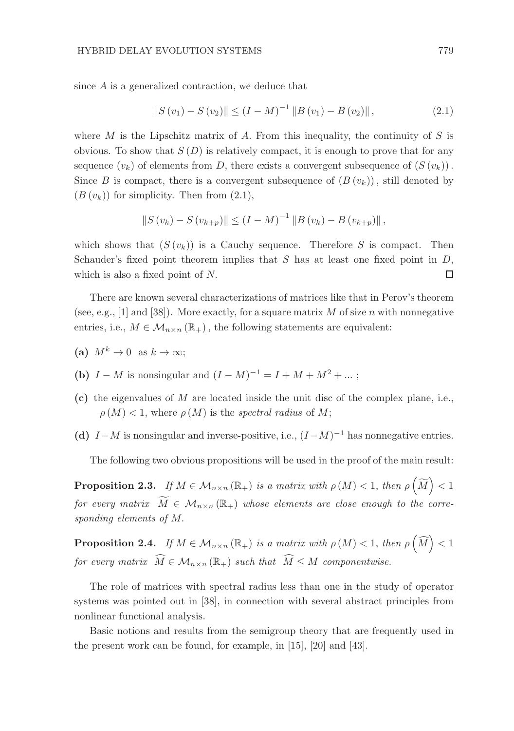since A is a generalized contraction, we deduce that

$$
||S(v_1) - S(v_2)|| \le (I - M)^{-1} ||B(v_1) - B(v_2)||,
$$
\n(2.1)

where M is the Lipschitz matrix of A. From this inequality, the continuity of S is obvious. To show that  $S(D)$  is relatively compact, it is enough to prove that for any sequence  $(v_k)$  of elements from D, there exists a convergent subsequence of  $(S(v_k))$ . Since B is compact, there is a convergent subsequence of  $(B(v_k))$ , still denoted by  $(B(v_k))$  for simplicity. Then from  $(2.1)$ ,

$$
||S(v_k) - S(v_{k+p})|| \le (I - M)^{-1} ||B(v_k) - B(v_{k+p})||,
$$

which shows that  $(S(v_k))$  is a Cauchy sequence. Therefore S is compact. Then Schauder's fixed point theorem implies that  $S$  has at least one fixed point in  $D$ , which is also a fixed point of N. □

There are known several characterizations of matrices like that in Perov's theorem (see, e.g., [1] and [38]). More exactly, for a square matrix M of size n with nonnegative entries, i.e.,  $M \in \mathcal{M}_{n \times n}(\mathbb{R}_+)$ , the following statements are equivalent:

- (a)  $M^k \to 0$  as  $k \to \infty$ ;
- (b)  $I M$  is nonsingular and  $(I M)^{-1} = I + M + M^2 + ...$ ;
- (c) the eigenvalues of M are located inside the unit disc of the complex plane, i.e.,  $\rho(M)$  < 1, where  $\rho(M)$  is the spectral radius of M;
- (d)  $I-M$  is nonsingular and inverse-positive, i.e.,  $(I-M)^{-1}$  has nonnegative entries.

The following two obvious propositions will be used in the proof of the main result:

**Proposition 2.3.** If  $M \in M_{n \times n}(\mathbb{R}_+)$  is a matrix with  $\rho(M) < 1$ , then  $\rho\left(\widetilde{M}\right) < 1$ for every matrix  $\widetilde{M} \in \mathcal{M}_{n \times n}(\mathbb{R}_+)$  whose elements are close enough to the corresponding elements of M.

**Proposition 2.4.** If  $M \in M_{n \times n}(\mathbb{R}_+)$  is a matrix with  $\rho(M) < 1$ , then  $\rho(\widehat{M}) < 1$ for every matrix  $\widehat{M} \in \mathcal{M}_{n \times n}(\mathbb{R}_+)$  such that  $\widehat{M} \leq M$  componentwise.

The role of matrices with spectral radius less than one in the study of operator systems was pointed out in [38], in connection with several abstract principles from nonlinear functional analysis.

Basic notions and results from the semigroup theory that are frequently used in the present work can be found, for example, in [15], [20] and [43].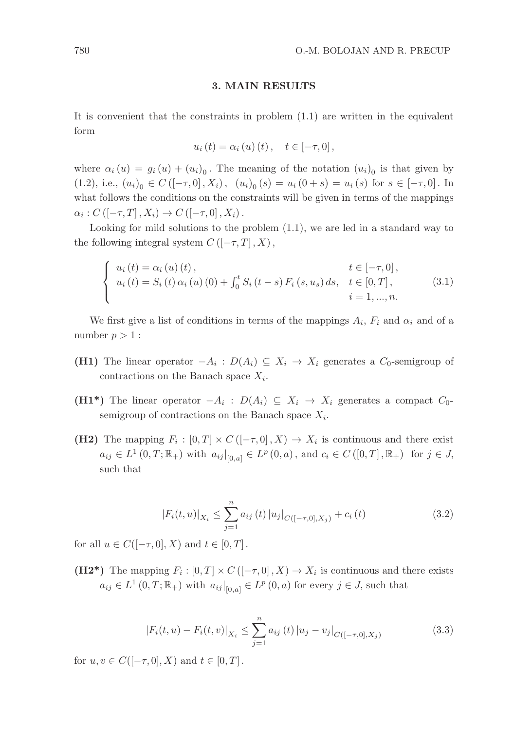### 3. MAIN RESULTS

It is convenient that the constraints in problem (1.1) are written in the equivalent form

$$
u_{i}(t) = \alpha_{i}(u)(t), \quad t \in [-\tau, 0],
$$

where  $\alpha_i(u) = g_i(u) + (u_i)_0$ . The meaning of the notation  $(u_i)_0$  is that given by (1.2), i.e.,  $(u_i)_0 \in C([-\tau,0], X_i)$ ,  $(u_i)_0(s) = u_i(0+s) = u_i(s)$  for  $s \in [-\tau,0]$ . In what follows the conditions on the constraints will be given in terms of the mappings  $\alpha_i : C([-\tau, T], X_i) \to C([-\tau, 0], X_i).$ 

Looking for mild solutions to the problem (1.1), we are led in a standard way to the following integral system  $C$  ([ $-\tau$ , T], X),

$$
\begin{cases}\n u_i(t) = \alpha_i(u)(t), & t \in [-\tau, 0], \\
 u_i(t) = S_i(t) \alpha_i(u)(0) + \int_0^t S_i(t - s) F_i(s, u_s) ds, & t \in [0, T], \\
 i = 1, ..., n.\n\end{cases}
$$
\n(3.1)

We first give a list of conditions in terms of the mappings  $A_i$ ,  $F_i$  and  $\alpha_i$  and of a number  $p > 1$ :

- **(H1)** The linear operator  $-A_i$ :  $D(A_i) \subseteq X_i \to X_i$  generates a  $C_0$ -semigroup of contractions on the Banach space  $X_i$ .
- (H1<sup>\*</sup>) The linear operator  $-A_i: D(A_i) \subseteq X_i \longrightarrow X_i$  generates a compact  $C_0$ semigroup of contractions on the Banach space  $X_i$ .
- (H2) The mapping  $F_i : [0, T] \times C([-\tau, 0], X) \rightarrow X_i$  is continuous and there exist  $a_{ij} \in L^1(0,T;\mathbb{R}_+)$  with  $a_{ij}|_{[0,a]} \in L^p(0,a)$ , and  $c_i \in C([0,T],\mathbb{R}_+)$  for  $j \in J$ , such that

$$
|F_i(t, u)|_{X_i} \le \sum_{j=1}^n a_{ij}(t) |u_j|_{C([-\tau, 0], X_j)} + c_i(t)
$$
\n(3.2)

for all  $u \in C([-\tau,0],X)$  and  $t \in [0,T]$ .

(H2<sup>\*</sup>) The mapping  $F_i : [0, T] \times C([- \tau, 0], X) \rightarrow X_i$  is continuous and there exists  $a_{ij} \in L^1(0,T;\mathbb{R}_+)$  with  $a_{ij}|_{[0,a]} \in L^p(0,a)$  for every  $j \in J$ , such that

$$
|F_i(t, u) - F_i(t, v)|_{X_i} \le \sum_{j=1}^n a_{ij}(t) |u_j - v_j|_{C([-\tau, 0], X_j)}
$$
(3.3)

for  $u, v \in C([-\tau, 0], X)$  and  $t \in [0, T]$ .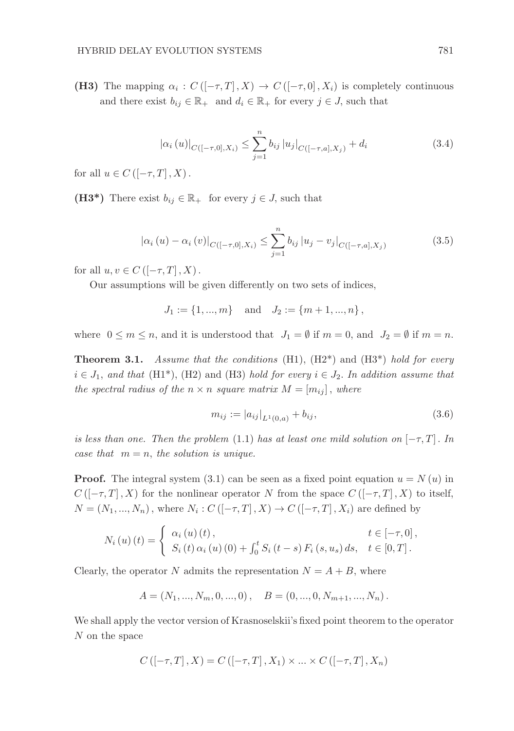(H3) The mapping  $\alpha_i : C([-\tau,T],X) \to C([-\tau,0],X_i)$  is completely continuous and there exist  $b_{ij} \in \mathbb{R}_+$  and  $d_i \in \mathbb{R}_+$  for every  $j \in J$ , such that

$$
|\alpha_i(u)|_{C([-\tau,0],X_i)} \leq \sum_{j=1}^n b_{ij} |u_j|_{C([-\tau,a],X_j)} + d_i
$$
\n(3.4)

for all  $u \in C \left( [-\tau, T], X \right)$ .

(H3<sup>\*</sup>) There exist  $b_{ij} \in \mathbb{R}_+$  for every  $j \in J$ , such that

$$
\left|\alpha_{i}\left(u\right)-\alpha_{i}\left(v\right)\right|_{C\left([- \tau, 0], X_{i}\right)} \leq \sum_{j=1}^{n} b_{ij} \left|u_{j}-v_{j}\right|_{C\left([- \tau, a], X_{j}\right)}
$$
(3.5)

for all  $u, v \in C \left[ [-\tau, T], X \right)$ .

Our assumptions will be given differently on two sets of indices,

$$
J_1 := \{1, ..., m\}
$$
 and  $J_2 := \{m+1, ..., n\}$ ,

where  $0 \le m \le n$ , and it is understood that  $J_1 = \emptyset$  if  $m = 0$ , and  $J_2 = \emptyset$  if  $m = n$ .

**Theorem 3.1.** Assume that the conditions (H1),  $(H2^*)$  and  $(H3^*)$  hold for every  $i \in J_1$ , and that (H1<sup>\*</sup>), (H2) and (H3) hold for every  $i \in J_2$ . In addition assume that the spectral radius of the  $n \times n$  square matrix  $M = [m_{ij}]$ , where

$$
m_{ij} := |a_{ij}|_{L^1(0,a)} + b_{ij},\tag{3.6}
$$

is less than one. Then the problem (1.1) has at least one mild solution on  $[-\tau, T]$ . In case that  $m = n$ , the solution is unique.

**Proof.** The integral system (3.1) can be seen as a fixed point equation  $u = N(u)$  in  $C([- \tau, T], X)$  for the nonlinear operator N from the space  $C([- \tau, T], X)$  to itself,  $N = (N_1, ..., N_n)$ , where  $N_i : C([-\tau, T], X) \to C([-\tau, T], X_i)$  are defined by

$$
N_{i}(u)(t) = \begin{cases} \alpha_{i}(u)(t), & t \in [-\tau, 0], \\ S_{i}(t)\alpha_{i}(u)(0) + \int_{0}^{t} S_{i}(t-s) F_{i}(s, u_{s}) ds, & t \in [0, T]. \end{cases}
$$

Clearly, the operator N admits the representation  $N = A + B$ , where

$$
A = (N_1, ..., N_m, 0, ..., 0), \quad B = (0, ..., 0, N_{m+1}, ..., N_n).
$$

We shall apply the vector version of Krasnoselskii's fixed point theorem to the operator N on the space

$$
C\left(\left[-\tau,T\right],X\right) = C\left(\left[-\tau,T\right],X_1\right) \times \ldots \times C\left(\left[-\tau,T\right],X_n\right)
$$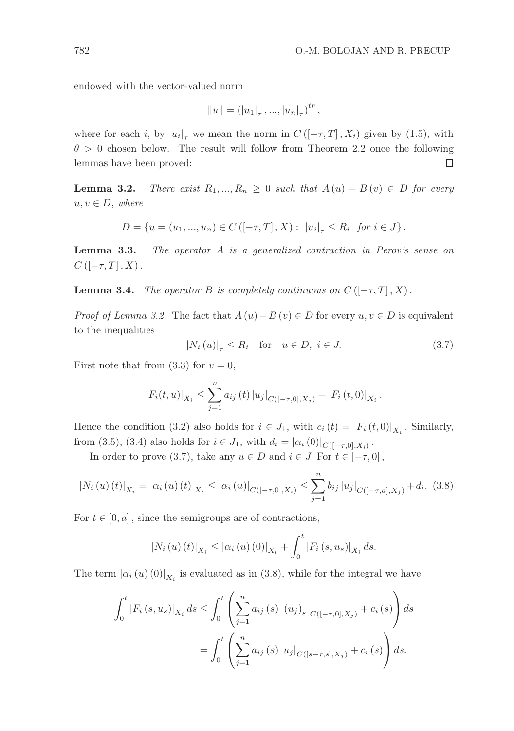endowed with the vector-valued norm

$$
||u|| = (|u_1|_{\tau}, ..., |u_n|_{\tau})^{tr},
$$

where for each *i*, by  $|u_i|_{\tau}$  we mean the norm in  $C([-\tau, T], X_i)$  given by (1.5), with  $\theta > 0$  chosen below. The result will follow from Theorem 2.2 once the following lemmas have been proved:  $\Box$ 

**Lemma 3.2.** There exist  $R_1, ..., R_n \geq 0$  such that  $A(u) + B(v) \in D$  for every  $u, v \in D$ , where

$$
D = \{ u = (u_1, ..., u_n) \in C \left( [-\tau, T], X \right) : ||u_i|_{\tau} \le R_i \text{ for } i \in J \}.
$$

Lemma 3.3. The operator A is a generalized contraction in Perov's sense on  $C \left( \left[ -\tau, T \right], X \right)$ .

**Lemma 3.4.** The operator B is completely continuous on  $C$  ( $[-\tau, T]$ , X).

*Proof of Lemma 3.2.* The fact that  $A(u) + B(v) \in D$  for every  $u, v \in D$  is equivalent to the inequalities

$$
|N_i(u)|_{\tau} \le R_i \quad \text{for} \quad u \in D, \ i \in J. \tag{3.7}
$$

First note that from  $(3.3)$  for  $v = 0$ ,

$$
|F_i(t, u)|_{X_i} \leq \sum_{j=1}^n a_{ij}(t) |u_j|_{C([-\tau, 0], X_j)} + |F_i(t, 0)|_{X_i}.
$$

Hence the condition (3.2) also holds for  $i \in J_1$ , with  $c_i(t) = |F_i(t,0)|_{X_i}$ . Similarly, from (3.5), (3.4) also holds for  $i \in J_1$ , with  $d_i = |\alpha_i(0)|_{C([-7,0], X_i)}$ .

In order to prove (3.7), take any  $u \in D$  and  $i \in J$ . For  $t \in [-\tau, 0]$ ,

$$
|N_i(u)(t)|_{X_i} = |\alpha_i(u)(t)|_{X_i} \leq |\alpha_i(u)|_{C([- \tau, 0], X_i)} \leq \sum_{j=1}^n b_{ij} |u_j|_{C([- \tau, a], X_j)} + d_i. \tag{3.8}
$$

For  $t \in [0, a]$ , since the semigroups are of contractions,

$$
|N_i(u)(t)|_{X_i} \leq |\alpha_i(u)(0)|_{X_i} + \int_0^t |F_i(s, u_s)|_{X_i} ds.
$$

The term  $|\alpha_i(u)(0)|_{X_i}$  is evaluated as in (3.8), while for the integral we have

$$
\int_{0}^{t} |F_{i}(s, u_{s})|_{X_{i}} ds \leq \int_{0}^{t} \left( \sum_{j=1}^{n} a_{ij}(s) |(u_{j})_{s}|_{C([-\tau, 0], X_{j})} + c_{i}(s) \right) ds
$$

$$
= \int_{0}^{t} \left( \sum_{j=1}^{n} a_{ij}(s) |u_{j}|_{C([s-\tau, s], X_{j})} + c_{i}(s) \right) ds.
$$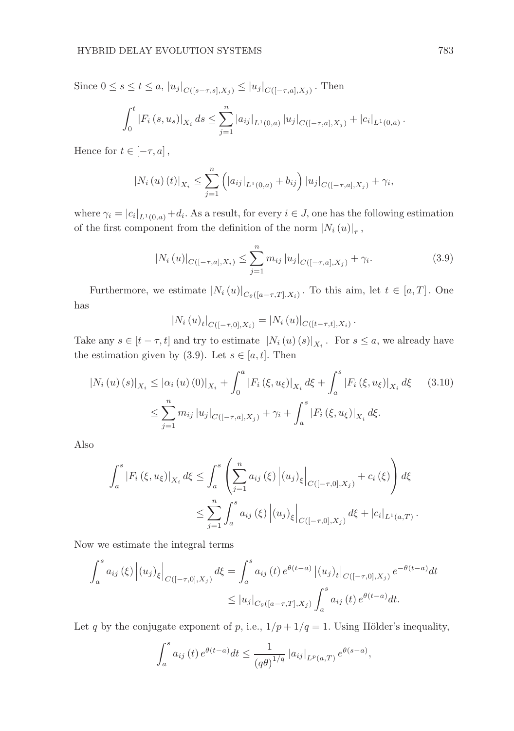Since  $0 \le s \le t \le a$ ,  $|u_j|_{C([s-\tau,s],X_j)} \le |u_j|_{C([-{\tau},a],X_j)}$ . Then

$$
\int_0^t |F_i(s, u_s)|_{X_i} ds \leq \sum_{j=1}^n |a_{ij}|_{L^1(0,a)} |u_j|_{C([-\tau,a],X_j)} + |c_i|_{L^1(0,a)}.
$$

Hence for  $t \in [-\tau, a]$ ,

$$
|N_i(u)(t)|_{X_i} \leq \sum_{j=1}^n (|a_{ij}|_{L^1(0,a)} + b_{ij}) |u_j|_{C([-\tau,a],X_j)} + \gamma_i,
$$

where  $\gamma_i = |c_i|_{L^1(0,a)} + d_i$ . As a result, for every  $i \in J$ , one has the following estimation of the first component from the definition of the norm  $|N_i(u)|_{\tau}$ ,

$$
|N_i(u)|_{C([-{\tau},a],X_i)} \leq \sum_{j=1}^n m_{ij} |u_j|_{C([-{\tau},a],X_j)} + \gamma_i.
$$
 (3.9)

Furthermore, we estimate  $|N_i(u)|_{C_\theta([a-\tau,T],X_i)}$ . To this aim, let  $t \in [a,T]$ . One has

$$
|N_i(u)_t|_{C([-\tau,0],X_i)} = |N_i(u)|_{C([t-\tau,t],X_i)}.
$$

Take any  $s \in [t - \tau, t]$  and try to estimate  $|N_i(u)(s)|_{X_i}$ . For  $s \le a$ , we already have the estimation given by (3.9). Let  $s \in [a, t]$ . Then

$$
|N_i(u)(s)|_{X_i} \leq |\alpha_i(u)(0)|_{X_i} + \int_0^a |F_i(\xi, u_{\xi})|_{X_i} d\xi + \int_a^s |F_i(\xi, u_{\xi})|_{X_i} d\xi
$$
 (3.10)  

$$
\leq \sum_{j=1}^n m_{ij} |u_j|_{C([-\tau, a], X_j)} + \gamma_i + \int_a^s |F_i(\xi, u_{\xi})|_{X_i} d\xi.
$$

Also

$$
\int_{a}^{s} |F_{i}(\xi, u_{\xi})|_{X_{i}} d\xi \leq \int_{a}^{s} \left( \sum_{j=1}^{n} a_{ij}(\xi) |(u_{j})_{\xi}|_{C([-\tau, 0], X_{j})} + c_{i}(\xi) \right) d\xi
$$
  

$$
\leq \sum_{j=1}^{n} \int_{a}^{s} a_{ij}(\xi) |(u_{j})_{\xi}|_{C([-\tau, 0], X_{j})} d\xi + |c_{i}|_{L^{1}(a, T)}.
$$

Now we estimate the integral terms

$$
\int_{a}^{s} a_{ij}(\xi) |(u_{j})_{\xi}|_{C([-{\tau},0],X_{j})} d\xi = \int_{a}^{s} a_{ij}(t) e^{\theta(t-a)} |(u_{j})_{t}|_{C([-{\tau},0],X_{j})} e^{-\theta(t-a)} dt
$$
  

$$
\leq |u_{j}|_{C_{\theta}([a-{\tau},T],X_{j})} \int_{a}^{s} a_{ij}(t) e^{\theta(t-a)} dt.
$$

Let q by the conjugate exponent of p, i.e.,  $1/p + 1/q = 1$ . Using Hölder's inequality,

$$
\int_{a}^{s} a_{ij}(t) e^{\theta(t-a)} dt \le \frac{1}{(q\theta)^{1/q}} |a_{ij}|_{L^{p}(a,T)} e^{\theta(s-a)},
$$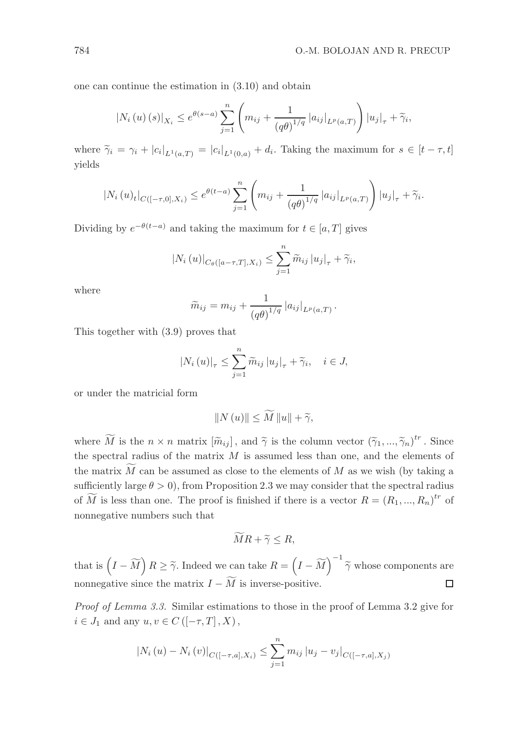one can continue the estimation in (3.10) and obtain

$$
|N_i(u)(s)|_{X_i} \leq e^{\theta(s-a)} \sum_{j=1}^n \left( m_{ij} + \frac{1}{(q\theta)^{1/q}} |a_{ij}|_{L^p(a,T)} \right) |u_j|_{\tau} + \tilde{\gamma}_i,
$$

where  $\widetilde{\gamma}_i = \gamma_i + |c_i|_{L^1(a,T)} = |c_i|_{L^1(0,a)} + d_i$ . Taking the maximum for  $s \in [t - \tau, t]$ yields

$$
|N_i(u)_t|_{C([-{\tau},0],X_i)} \leq e^{\theta(t-a)} \sum_{j=1}^n \left( m_{ij} + \frac{1}{(q\theta)^{1/q}} |a_{ij}|_{L^p(a,T)} \right) |u_j|_{\tau} + \widetilde{\gamma}_i.
$$

Dividing by  $e^{-\theta(t-a)}$  and taking the maximum for  $t \in [a, T]$  gives

$$
|N_i(u)|_{C_{\theta}([a-\tau,T],X_i)} \leq \sum_{j=1}^n \widetilde{m}_{ij} |u_j|_{\tau} + \widetilde{\gamma}_i,
$$

where

$$
\widetilde{m}_{ij} = m_{ij} + \frac{1}{(q\theta)^{1/q}} |a_{ij}|_{L^p(a,T)}.
$$

This together with (3.9) proves that

$$
\left|N_{i}\left(u\right)\right|_{\tau} \leq \sum_{j=1}^{n} \widetilde{m}_{ij} \left|u_{j}\right|_{\tau} + \widetilde{\gamma}_{i}, \quad i \in J,
$$

or under the matricial form

$$
||N(u)|| \le \widetilde{M} ||u|| + \widetilde{\gamma},
$$

where  $\widetilde{M}$  is the  $n \times n$  matrix  $[\widetilde{m}_{ij}]$ , and  $\widetilde{\gamma}$  is the column vector  $(\widetilde{\gamma}_1, ..., \widetilde{\gamma}_n)^{tr}$ . Since the spectral radius of the matrix  $M$  is assumed less than one, and the elements of the matrix  $\widetilde{M}$  can be assumed as close to the elements of M as we wish (by taking a sufficiently large  $\theta > 0$ , from Proposition 2.3 we may consider that the spectral radius of  $\widetilde{M}$  is less than one. The proof is finished if there is a vector  $R = (R_1, ..., R_n)^{tr}$  of nonnegative numbers such that

$$
MR + \widetilde{\gamma} \le R,
$$

that is  $(I - \widetilde{M}) R \geq \widetilde{\gamma}$ . Indeed we can take  $R = (I - \widetilde{M})^{-1} \widetilde{\gamma}$  whose components are nonnegative since the matrix  $I - \widetilde{M}$  is inverse-positive.  $\Box$ 

Proof of Lemma 3.3. Similar estimations to those in the proof of Lemma 3.2 give for  $i \in J_1$  and any  $u, v \in C \left( \left[ -\tau, T \right], X \right)$ ,

$$
|N_i(u) - N_i(v)|_{C([-\tau,a],X_i)} \leq \sum_{j=1}^n m_{ij} |u_j - v_j|_{C([-\tau,a],X_j)}
$$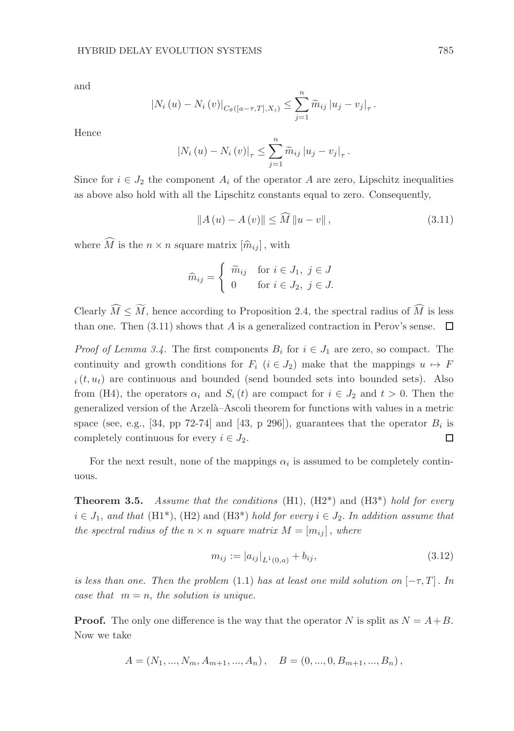and

$$
|N_i (u) - N_i (v)|_{C_{\theta}([a-\tau,T],X_i)} \leq \sum_{j=1}^n \widetilde{m}_{ij} |u_j - v_j|_{\tau}.
$$

Hence

$$
|N_i(u) - N_i(v)|_{\tau} \leq \sum_{j=1}^{n} \widetilde{m}_{ij} |u_j - v_j|_{\tau}.
$$

Since for  $i \in J_2$  the component  $A_i$  of the operator A are zero, Lipschitz inequalities as above also hold with all the Lipschitz constants equal to zero. Consequently,

$$
||A(u) - A(v)|| \le \widehat{M} ||u - v||,
$$
\n(3.11)

where  $\widehat{M}$  is the  $n \times n$  square matrix  $[\widehat{m}_{ij}]$ , with

$$
\widehat{m}_{ij} = \begin{cases}\n\widetilde{m}_{ij} & \text{for } i \in J_1, \ j \in J \\
0 & \text{for } i \in J_2, \ j \in J.\n\end{cases}
$$

Clearly  $\widehat{M} \leq \widetilde{M}$ , hence according to Proposition 2.4, the spectral radius of  $\widehat{M}$  is less than one. Then (3.11) shows that A is a generalized contraction in Perov's sense.  $\Box$ 

*Proof of Lemma 3.4.* The first components  $B_i$  for  $i \in J_1$  are zero, so compact. The continuity and growth conditions for  $F_i$   $(i \in J_2)$  make that the mappings  $u \mapsto F$  $i<sub>i</sub>(t, u<sub>t</sub>)$  are continuous and bounded (send bounded sets into bounded sets). Also from (H4), the operators  $\alpha_i$  and  $S_i(t)$  are compact for  $i \in J_2$  and  $t > 0$ . Then the generalized version of the Arzel`a–Ascoli theorem for functions with values in a metric space (see, e.g., [34, pp 72-74] and [43, p 296]), guarantees that the operator  $B_i$  is completely continuous for every  $i \in J_2$ . □

For the next result, none of the mappings  $\alpha_i$  is assumed to be completely continuous.

**Theorem 3.5.** Assume that the conditions (H1),  $(H2^*)$  and  $(H3^*)$  hold for every  $i \in J_1$ , and that (H1<sup>\*</sup>), (H2) and (H3<sup>\*</sup>) hold for every  $i \in J_2$ . In addition assume that the spectral radius of the  $n \times n$  square matrix  $M = [m_{ij}]$ , where

$$
m_{ij} := |a_{ij}|_{L^{1}(0,a)} + b_{ij}, \qquad (3.12)
$$

is less than one. Then the problem (1.1) has at least one mild solution on  $[-\tau, T]$ . In case that  $m = n$ , the solution is unique.

**Proof.** The only one difference is the way that the operator N is split as  $N = A + B$ . Now we take

$$
A = (N_1, ..., N_m, A_{m+1}, ..., A_n), \quad B = (0, ..., 0, B_{m+1}, ..., B_n),
$$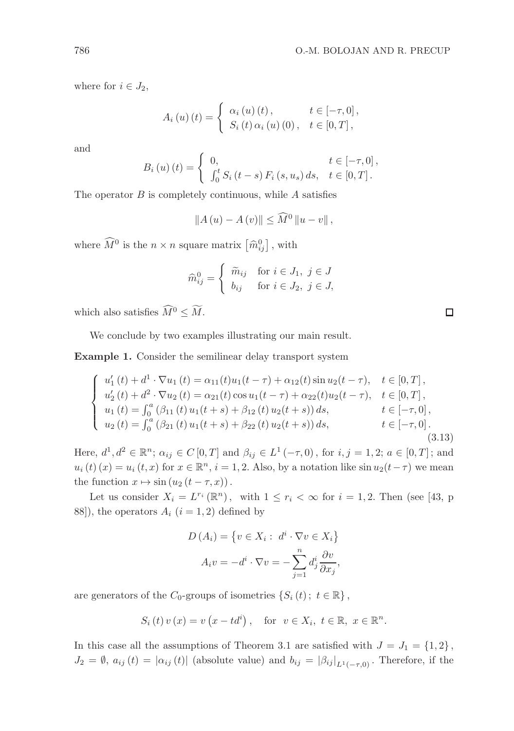where for  $i \in J_2$ ,

$$
A_{i}(u)(t) = \begin{cases} \alpha_{i}(u)(t), & t \in [-\tau, 0], \\ S_{i}(t) \alpha_{i}(u)(0), & t \in [0, T], \end{cases}
$$

and

$$
B_{i}(u)(t) = \begin{cases} 0, & t \in [-\tau, 0], \\ \int_{0}^{t} S_{i}(t-s) F_{i}(s, u_{s}) ds, & t \in [0, T]. \end{cases}
$$

The operator  $B$  is completely continuous, while  $A$  satisfies

$$
||A(u) - A(v)|| \leq \widehat{M}^0 ||u - v||,
$$

where  $\widehat{M}^0$  is the  $n \times n$  square matrix  $\left[\widehat{m}_{ij}^0\right]$ , with

$$
\widehat{m}_{ij}^0 = \begin{cases}\n\widetilde{m}_{ij} & \text{for } i \in J_1, \ j \in J \\
b_{ij} & \text{for } i \in J_2, \ j \in J,\n\end{cases}
$$

which also satisfies  $\widehat{M}^0 \leq \widetilde{M}$ .

We conclude by two examples illustrating our main result.

Example 1. Consider the semilinear delay transport system

$$
\begin{cases}\nu_1'(t) + d^1 \cdot \nabla u_1(t) = \alpha_{11}(t)u_1(t-\tau) + \alpha_{12}(t)\sin u_2(t-\tau), & t \in [0, T], \\
u_2'(t) + d^2 \cdot \nabla u_2(t) = \alpha_{21}(t)\cos u_1(t-\tau) + \alpha_{22}(t)u_2(t-\tau), & t \in [0, T], \\
u_1(t) = \int_0^a (\beta_{11}(t)u_1(t+s) + \beta_{12}(t)u_2(t+s))ds, & t \in [-\tau, 0], \\
u_2(t) = \int_0^a (\beta_{21}(t)u_1(t+s) + \beta_{22}(t)u_2(t+s))ds, & t \in [-\tau, 0].\n\end{cases}
$$
\n(3.13)

Here,  $d^1, d^2 \in \mathbb{R}^n$ ;  $\alpha_{ij} \in C[0, T]$  and  $\beta_{ij} \in L^1(-\tau, 0)$ , for  $i, j = 1, 2$ ;  $a \in [0, T]$ ; and  $u_i(t)(x) = u_i(t, x)$  for  $x \in \mathbb{R}^n$ ,  $i = 1, 2$ . Also, by a notation like  $\sin u_2(t - \tau)$  we mean the function  $x \mapsto \sin(u_2 (t - \tau, x))$ .

Let us consider  $X_i = L^{r_i}(\mathbb{R}^n)$ , with  $1 \leq r_i < \infty$  for  $i = 1, 2$ . Then (see [43, p 88]), the operators  $A_i$   $(i = 1, 2)$  defined by

$$
D(A_i) = \{ v \in X_i : d^i \cdot \nabla v \in X_i \}
$$

$$
A_i v = -d^i \cdot \nabla v = -\sum_{j=1}^n d^i_j \frac{\partial v}{\partial x_j},
$$

are generators of the  $C_0$ -groups of isometries  $\{S_i(t); t \in \mathbb{R}\},$ 

$$
S_i(t)v(x) = v(x - td^i), \text{ for } v \in X_i, t \in \mathbb{R}, x \in \mathbb{R}^n.
$$

In this case all the assumptions of Theorem 3.1 are satisfied with  $J = J_1 = \{1, 2\}$ ,  $J_2 = \emptyset$ ,  $a_{ij}(t) = |\alpha_{ij}(t)|$  (absolute value) and  $b_{ij} = |\beta_{ij}|_{L^1(-\tau,0)}$ . Therefore, if the

 $\Box$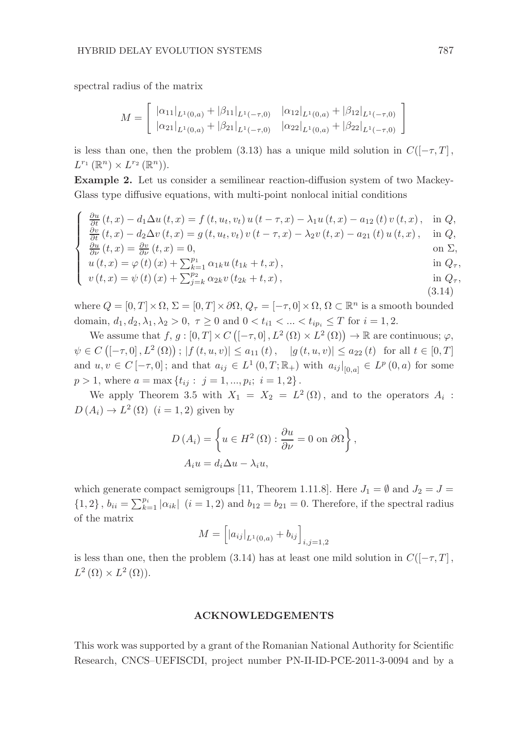spectral radius of the matrix

$$
M = \begin{bmatrix} |\alpha_{11}|_{L^1(0,a)} + |\beta_{11}|_{L^1(-\tau,0)} & |\alpha_{12}|_{L^1(0,a)} + |\beta_{12}|_{L^1(-\tau,0)} \\ |\alpha_{21}|_{L^1(0,a)} + |\beta_{21}|_{L^1(-\tau,0)} & |\alpha_{22}|_{L^1(0,a)} + |\beta_{22}|_{L^1(-\tau,0)} \end{bmatrix}
$$

is less than one, then the problem (3.13) has a unique mild solution in  $C([-\tau, T]$ ,  $L^{r_1}(\mathbb{R}^n)\times L^{r_2}(\mathbb{R}^n)).$ 

Example 2. Let us consider a semilinear reaction-diffusion system of two Mackey-Glass type diffusive equations, with multi-point nonlocal initial conditions

$$
\begin{cases}\n\frac{\partial u}{\partial t}(t,x) - d_1 \Delta u(t,x) = f(t, u_t, v_t) u(t-\tau, x) - \lambda_1 u(t,x) - a_{12}(t) v(t,x), & \text{in } Q, \\
\frac{\partial v}{\partial t}(t,x) - d_2 \Delta v(t,x) = g(t, u_t, v_t) v(t-\tau, x) - \lambda_2 v(t,x) - a_{21}(t) u(t,x), & \text{in } Q, \\
\frac{\partial u}{\partial \nu}(t,x) = \frac{\partial v}{\partial \nu}(t,x) = 0, & \text{on } \Sigma,\n\end{cases}
$$

$$
u(t, x) = \varphi(t) (x) + \sum_{k=1}^{p_1} \alpha_{1k} u(t_{1k} + t, x),
$$
 in  $Q_{\tau}$ ,

$$
\begin{cases}\n u(t,x) = \varphi(t)(x) + \sum_{k=1}^{p_1} \alpha_{1k} u(t_{1k} + t, x), & \text{in } Q_7, \\
 v(t,x) = \psi(t)(x) + \sum_{j=k}^{p_2} \alpha_{2k} v(t_{2k} + t, x), & \text{in } Q_7,\n\end{cases}
$$
\n(3.14)

where  $Q = [0, T] \times \Omega$ ,  $\Sigma = [0, T] \times \partial \Omega$ ,  $Q_{\tau} = [-\tau, 0] \times \Omega$ ,  $\Omega \subset \mathbb{R}^{n}$  is a smooth bounded domain,  $d_1, d_2, \lambda_1, \lambda_2 > 0, \tau \ge 0$  and  $0 < t_{i1} < ... < t_{ip_i} \le T$  for  $i = 1, 2$ .

We assume that  $f, g : [0, T] \times C \left( [-\tau, 0], L^2(\Omega) \times L^2(\Omega) \right) \to \mathbb{R}$  are continuous;  $\varphi$ ,  $\psi \in C([-\tau, 0], L^2(\Omega))$ ;  $|f(t, u, v)| \leq a_{11}(t)$ ,  $|g(t, u, v)| \leq a_{22}(t)$  for all  $t \in [0, T]$ and  $u, v \in C[-\tau, 0]$ ; and that  $a_{ij} \in L^1(0,T; \mathbb{R}_+)$  with  $a_{ij}|_{[0,a]} \in L^p(0,a)$  for some  $p > 1$ , where  $a = \max \{t_{ij} : j = 1, ..., p_i; i = 1, 2\}$ .

We apply Theorem 3.5 with  $X_1 = X_2 = L^2(\Omega)$ , and to the operators  $A_i$ :  $D(A_i) \to L^2(\Omega)$   $(i = 1, 2)$  given by

$$
D(A_i) = \left\{ u \in H^2(\Omega) : \frac{\partial u}{\partial \nu} = 0 \text{ on } \partial \Omega \right\},\
$$
  

$$
A_i u = d_i \Delta u - \lambda_i u,
$$

which generate compact semigroups [11, Theorem 1.11.8]. Here  $J_1 = \emptyset$  and  $J_2 = J =$  $\{1,2\}, b_{ii} = \sum_{k=1}^{p_i} |\alpha_{ik}|$   $(i = 1, 2)$  and  $b_{12} = b_{21} = 0$ . Therefore, if the spectral radius of the matrix

$$
M = [ |a_{ij}|_{L^1(0,a)} + b_{ij} ]_{i,j=1,2}
$$

is less than one, then the problem (3.14) has at least one mild solution in  $C([-\tau, T]$ ,  $L^2(\Omega)\times L^2(\Omega)$ .

#### ACKNOWLEDGEMENTS

This work was supported by a grant of the Romanian National Authority for Scientific Research, CNCS–UEFISCDI, project number PN-II-ID-PCE-2011-3-0094 and by a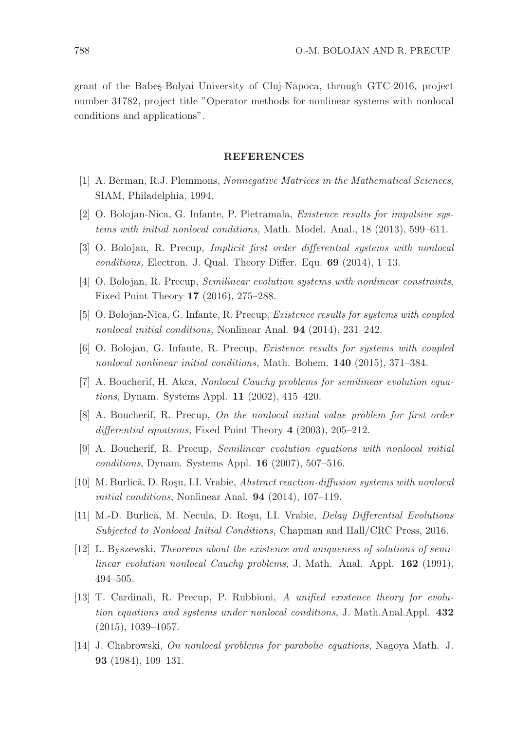grant of the Babes-Bolyai University of Cluj-Napoca, through GTC-2016, project number 31782, project title "Operator methods for nonlinear systems with nonlocal conditions and applications".

#### REFERENCES

- [1] A. Berman, R.J. Plemmons, Nonnegative Matrices in the Mathematical Sciences, SIAM, Philadelphia, 1994.
- [2] O. Bolojan-Nica, G. Infante, P. Pietramala, Existence results for impulsive systems with initial nonlocal conditions, Math. Model. Anal., 18 (2013), 599–611.
- [3] O. Bolojan, R. Precup, Implicit first order differential systems with nonlocal conditions, Electron. J. Qual. Theory Differ. Equ. 69 (2014), 1–13.
- [4] O. Bolojan, R. Precup, Semilinear evolution systems with nonlinear constraints, Fixed Point Theory 17 (2016), 275–288.
- [5] O. Bolojan-Nica, G. Infante, R. Precup, Existence results for systems with coupled nonlocal initial conditions, Nonlinear Anal. 94 (2014), 231–242.
- [6] O. Bolojan, G. Infante, R. Precup, Existence results for systems with coupled nonlocal nonlinear initial conditions, Math. Bohem. 140 (2015), 371–384.
- [7] A. Boucherif, H. Akca, Nonlocal Cauchy problems for semilinear evolution equations, Dynam. Systems Appl. 11 (2002), 415–420.
- [8] A. Boucherif, R. Precup, On the nonlocal initial value problem for first order differential equations, Fixed Point Theory 4 (2003), 205-212.
- [9] A. Boucherif, R. Precup, Semilinear evolution equations with nonlocal initial conditions, Dynam. Systems Appl. 16 (2007), 507–516.
- [10] M. Burlică, D. Rosu, I.I. Vrabie, Abstract reaction-diffusion systems with nonlocal initial conditions, Nonlinear Anal. 94 (2014), 107–119.
- [11] M.-D. Burlică, M. Necula, D. Roșu, I.I. Vrabie, *Delay Differential Evolutions* Subjected to Nonlocal Initial Conditions, Chapman and Hall/CRC Press, 2016.
- [12] L. Byszewski, Theorems about the existence and uniqueness of solutions of semilinear evolution nonlocal Cauchy problems, J. Math. Anal. Appl. 162 (1991), 494–505.
- [13] T. Cardinali, R. Precup, P. Rubbioni, A unified existence theory for evolution equations and systems under nonlocal conditions, J. Math.Anal.Appl. 432  $(2015), 1039-1057.$
- [14] J. Chabrowski, On nonlocal problems for parabolic equations, Nagoya Math. J. 93 (1984), 109–131.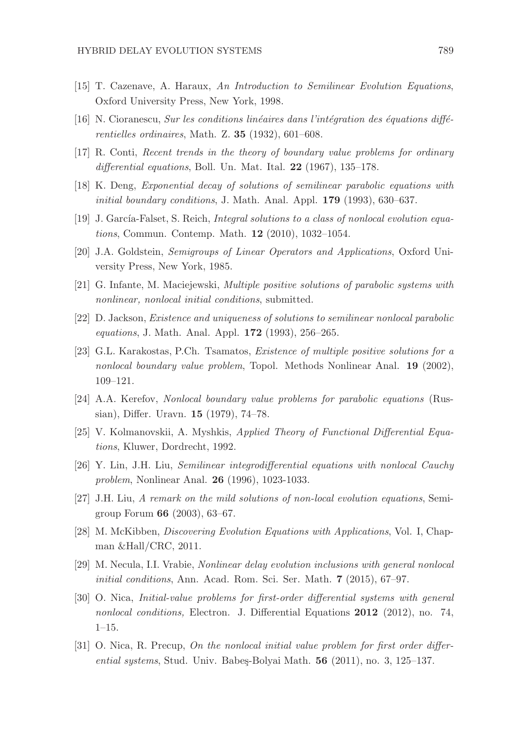- [15] T. Cazenave, A. Haraux, An Introduction to Semilinear Evolution Equations, Oxford University Press, New York, 1998.
- [16] N. Cioranescu, Sur les conditions linéaires dans l'intégration des équations différentielles ordinaires, Math. Z. 35 (1932), 601–608.
- [17] R. Conti, Recent trends in the theory of boundary value problems for ordinary differential equations, Boll. Un. Mat. Ital.  $22$  (1967), 135–178.
- [18] K. Deng, Exponential decay of solutions of semilinear parabolic equations with initial boundary conditions, J. Math. Anal. Appl. 179 (1993), 630–637.
- [19] J. García-Falset, S. Reich, *Integral solutions to a class of nonlocal evolution equa*tions, Commun. Contemp. Math. 12 (2010), 1032–1054.
- [20] J.A. Goldstein, Semigroups of Linear Operators and Applications, Oxford University Press, New York, 1985.
- [21] G. Infante, M. Maciejewski, Multiple positive solutions of parabolic systems with nonlinear, nonlocal initial conditions, submitted.
- [22] D. Jackson, Existence and uniqueness of solutions to semilinear nonlocal parabolic equations, J. Math. Anal. Appl. 172 (1993), 256–265.
- [23] G.L. Karakostas, P.Ch. Tsamatos, Existence of multiple positive solutions for a nonlocal boundary value problem, Topol. Methods Nonlinear Anal. 19 (2002), 109–121.
- [24] A.A. Kerefov, Nonlocal boundary value problems for parabolic equations (Russian), Differ. Uravn. 15 (1979), 74–78.
- [25] V. Kolmanovskii, A. Myshkis, Applied Theory of Functional Differential Equations, Kluwer, Dordrecht, 1992.
- [26] Y. Lin, J.H. Liu, Semilinear integrodifferential equations with nonlocal Cauchy problem, Nonlinear Anal. 26 (1996), 1023-1033.
- [27] J.H. Liu, A remark on the mild solutions of non-local evolution equations, Semigroup Forum 66 (2003), 63–67.
- [28] M. McKibben, Discovering Evolution Equations with Applications, Vol. I, Chapman &Hall/CRC, 2011.
- [29] M. Necula, I.I. Vrabie, Nonlinear delay evolution inclusions with general nonlocal initial conditions, Ann. Acad. Rom. Sci. Ser. Math. 7 (2015), 67-97.
- [30] O. Nica, Initial-value problems for first-order differential systems with general nonlocal conditions, Electron. J. Differential Equations 2012 (2012), no. 74, 1–15.
- [31] O. Nica, R. Precup, On the nonlocal initial value problem for first order differential systems, Stud. Univ. Babeş-Bolyai Math.  $56$  (2011), no. 3, 125–137.